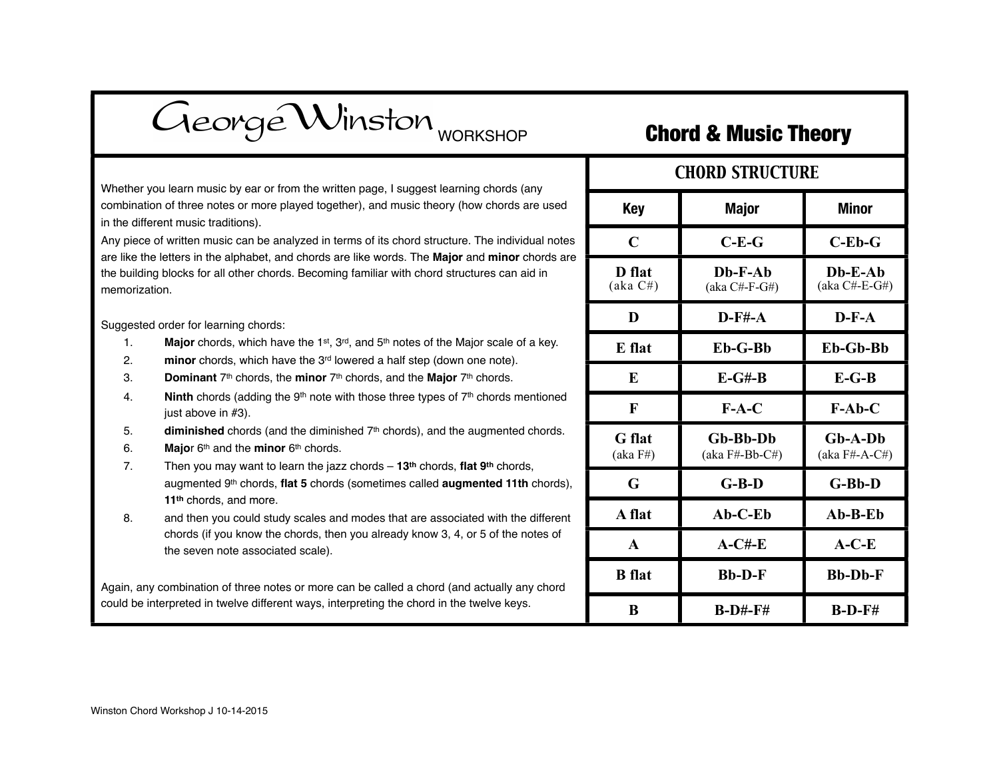| George Winston <sub>WORKSHOP</sub>                                                                                                                                                                                                                                                                                                                                                                                                                                                                                                                                                                                                                                                                                                                                                                                                                                                                                                                                                                                                                                     |                           | <b>Chord &amp; Music Theory</b>  |                              |
|------------------------------------------------------------------------------------------------------------------------------------------------------------------------------------------------------------------------------------------------------------------------------------------------------------------------------------------------------------------------------------------------------------------------------------------------------------------------------------------------------------------------------------------------------------------------------------------------------------------------------------------------------------------------------------------------------------------------------------------------------------------------------------------------------------------------------------------------------------------------------------------------------------------------------------------------------------------------------------------------------------------------------------------------------------------------|---------------------------|----------------------------------|------------------------------|
| you learn music by ear or from the written page, I suggest learning chords (any<br>ion of three notes or more played together), and music theory (how chords are used<br>erent music traditions).<br>e of written music can be analyzed in terms of its chord structure. The individual notes<br>ne letters in the alphabet, and chords are like words. The Major and minor chords are<br>ng blocks for all other chords. Becoming familiar with chord structures can aid in<br>ation.                                                                                                                                                                                                                                                                                                                                                                                                                                                                                                                                                                                 | <b>CHORD STRUCTURE</b>    |                                  |                              |
|                                                                                                                                                                                                                                                                                                                                                                                                                                                                                                                                                                                                                                                                                                                                                                                                                                                                                                                                                                                                                                                                        | <b>Key</b>                | <b>Major</b>                     | <b>Minor</b>                 |
|                                                                                                                                                                                                                                                                                                                                                                                                                                                                                                                                                                                                                                                                                                                                                                                                                                                                                                                                                                                                                                                                        | $\mathbf C$               | $C-E-G$                          | $C$ -Eb-G                    |
|                                                                                                                                                                                                                                                                                                                                                                                                                                                                                                                                                                                                                                                                                                                                                                                                                                                                                                                                                                                                                                                                        | D flat<br>(aka C#)        | $Db-F-Ab$<br>$(aka C#-F-G#)$     | $Db-E-Ab$<br>$(aka C#-E-G#)$ |
| ed order for learning chords:<br><b>Major</b> chords, which have the 1 <sup>st</sup> , 3 <sup>rd</sup> , and 5 <sup>th</sup> notes of the Major scale of a key.<br>minor chords, which have the 3 <sup>rd</sup> lowered a half step (down one note).<br>Dominant 7 <sup>th</sup> chords, the minor 7 <sup>th</sup> chords, and the Major 7 <sup>th</sup> chords.<br>Ninth chords (adding the 9 <sup>th</sup> note with those three types of 7 <sup>th</sup> chords mentioned<br>just above in #3).<br>diminished chords (and the diminished $7th$ chords), and the augmented chords.<br>Major 6th and the minor 6th chords.<br>Then you may want to learn the jazz chords $-13$ <sup>th</sup> chords, flat 9 <sup>th</sup> chords,<br>augmented 9th chords, flat 5 chords (sometimes called augmented 11th chords),<br>11 <sup>th</sup> chords, and more.<br>and then you could study scales and modes that are associated with the different<br>chords (if you know the chords, then you already know 3, 4, or 5 of the notes of<br>the seven note associated scale). | D                         | $D$ -F#-A                        | $D-F-A$                      |
|                                                                                                                                                                                                                                                                                                                                                                                                                                                                                                                                                                                                                                                                                                                                                                                                                                                                                                                                                                                                                                                                        | E flat                    | Eb-G-Bb                          | Eb-Gb-Bb                     |
|                                                                                                                                                                                                                                                                                                                                                                                                                                                                                                                                                                                                                                                                                                                                                                                                                                                                                                                                                                                                                                                                        | E                         | $E-G#-B$                         | $E-G-B$                      |
|                                                                                                                                                                                                                                                                                                                                                                                                                                                                                                                                                                                                                                                                                                                                                                                                                                                                                                                                                                                                                                                                        | $\mathbf{F}$              | $F-A-C$                          | $F-Ab-C$                     |
|                                                                                                                                                                                                                                                                                                                                                                                                                                                                                                                                                                                                                                                                                                                                                                                                                                                                                                                                                                                                                                                                        | <b>G</b> flat<br>(aka F#) | Gb-Bb-Db<br>$(aka F# - Bb - C#)$ | $Gb-A-Db$<br>$(aka F#-A-C#)$ |
|                                                                                                                                                                                                                                                                                                                                                                                                                                                                                                                                                                                                                                                                                                                                                                                                                                                                                                                                                                                                                                                                        | G                         | $G-B-D$                          | $G-Bb-D$                     |
|                                                                                                                                                                                                                                                                                                                                                                                                                                                                                                                                                                                                                                                                                                                                                                                                                                                                                                                                                                                                                                                                        | A flat                    | $Ab-C-Eb$                        | $Ab-B-Eb$                    |
|                                                                                                                                                                                                                                                                                                                                                                                                                                                                                                                                                                                                                                                                                                                                                                                                                                                                                                                                                                                                                                                                        | $\mathbf{A}$              | $A-C#-E$                         | $A-C-E$                      |
| ly combination of three notes or more can be called a chord (and actually any chord                                                                                                                                                                                                                                                                                                                                                                                                                                                                                                                                                                                                                                                                                                                                                                                                                                                                                                                                                                                    | <b>B</b> flat             | <b>Bb-D-F</b>                    | <b>Bb-Db-F</b>               |
| interpreted in twelve different ways, interpreting the chord in the twelve keys.                                                                                                                                                                                                                                                                                                                                                                                                                                                                                                                                                                                                                                                                                                                                                                                                                                                                                                                                                                                       | $\bf{B}$                  | $B-D#-F#$                        | $B-D-F#$                     |

Whether you learn music by ear combination of three notes or more in the different music traditions).

Any piece of written music can be are like the letters in the alphabet the building blocks for all other chords. memorization.

Suggested order for learning chor

- 1. **Major** chords, which
- 2. **minor** chords, which
- 3. **Dominant** 7th chords, the **minor** 7th chords, and the **Major** 7th chords.
- 4. **Ninth** chords (adding just above in #3).
- 5. **diminished** chords
- 6. **Major** 6<sup>th</sup> and the **mi**
- 7. Then you may want augmented 9<sup>th</sup> chord 11<sup>th</sup> chords, and more
- 8. and then you could s chords (if you know the seven note asso

Again, any combination of three could be interpreted in twelve diff